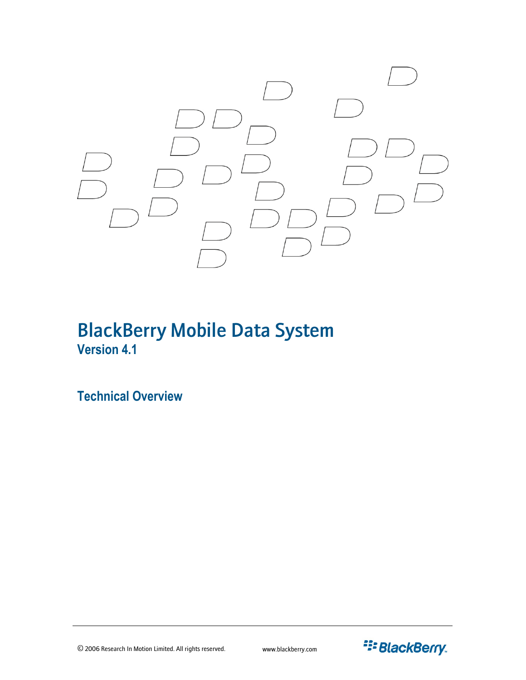

# BlackBerry Mobile Data System **Version 4.1**

**Technical Overview** 

© 2006 Research In Motion Limited. All rights reserved. www.blackberry.com

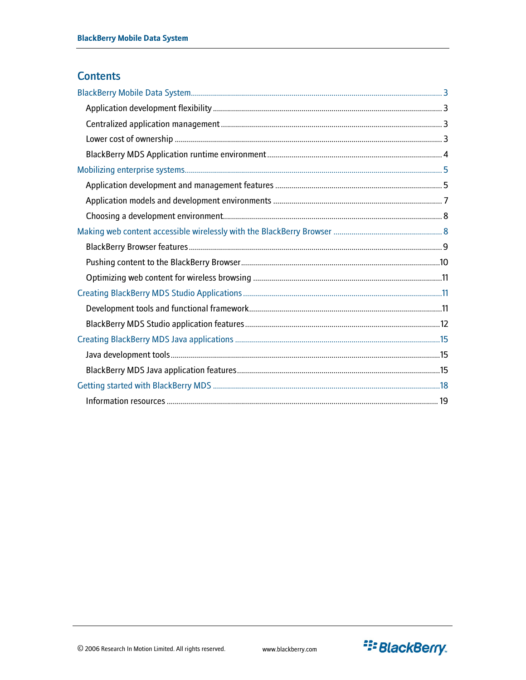# **Contents**

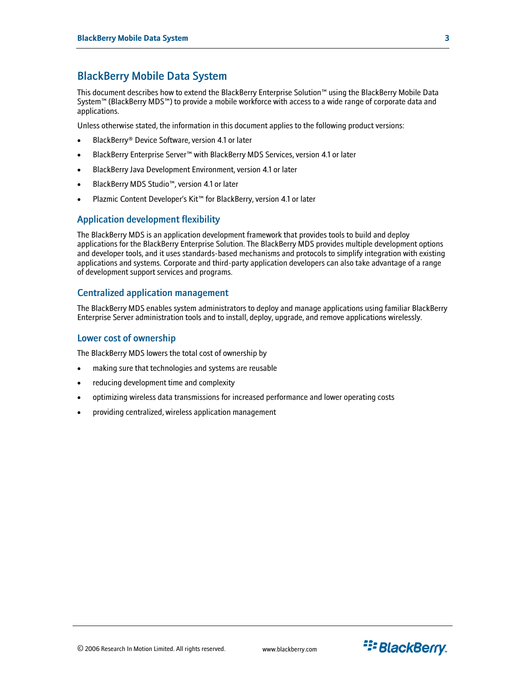# <span id="page-2-0"></span>BlackBerry Mobile Data System

This document describes how to extend the BlackBerry Enterprise Solution™ using the BlackBerry Mobile Data System™ (BlackBerry MDS™) to provide a mobile workforce with access to a wide range of corporate data and applications.

Unless otherwise stated, the information in this document applies to the following product versions:

- BlackBerry® Device Software, version 4.1 or later
- BlackBerry Enterprise Server™ with BlackBerry MDS Services, version 4.1 or later
- BlackBerry Java Development Environment, version 4.1 or later
- BlackBerry MDS Studio™, version 4.1 or later
- Plazmic Content Developer's Kit™ for BlackBerry, version 4.1 or later

#### Application development flexibility

The BlackBerry MDS is an application development framework that provides tools to build and deploy applications for the BlackBerry Enterprise Solution. The BlackBerry MDS provides multiple development options and developer tools, and it uses standards-based mechanisms and protocols to simplify integration with existing applications and systems. Corporate and third-party application developers can also take advantage of a range of development support services and programs.

### Centralized application management

The BlackBerry MDS enables system administrators to deploy and manage applications using familiar BlackBerry Enterprise Server administration tools and to install, deploy, upgrade, and remove applications wirelessly.

#### Lower cost of ownership

The BlackBerry MDS lowers the total cost of ownership by

- making sure that technologies and systems are reusable
- reducing development time and complexity
- optimizing wireless data transmissions for increased performance and lower operating costs
- providing centralized, wireless application management

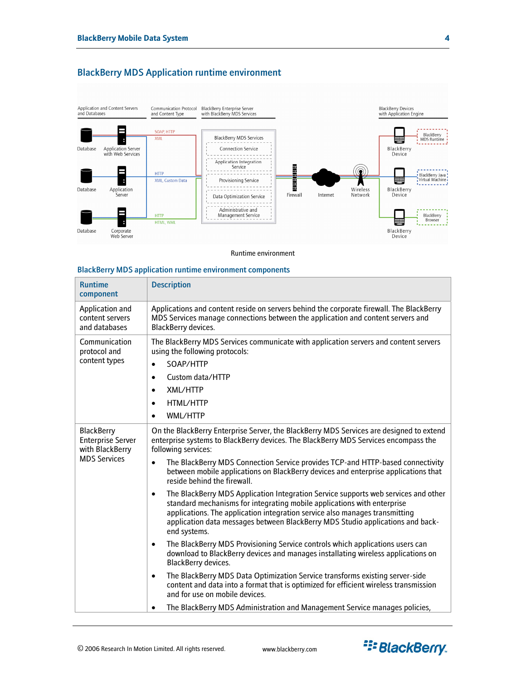

# <span id="page-3-0"></span>BlackBerry MDS Application runtime environment

Runtime environment

#### BlackBerry MDS application runtime environment components

| <b>Runtime</b><br>component                                                             | <b>Description</b>                                                                                                                                                                                                                                                                                                                                                                                                                                                                                                                                                                                                                                                                                                                                                                                                                                                                                                                                                                                                                                                                                                                                                                                                                                                                               |
|-----------------------------------------------------------------------------------------|--------------------------------------------------------------------------------------------------------------------------------------------------------------------------------------------------------------------------------------------------------------------------------------------------------------------------------------------------------------------------------------------------------------------------------------------------------------------------------------------------------------------------------------------------------------------------------------------------------------------------------------------------------------------------------------------------------------------------------------------------------------------------------------------------------------------------------------------------------------------------------------------------------------------------------------------------------------------------------------------------------------------------------------------------------------------------------------------------------------------------------------------------------------------------------------------------------------------------------------------------------------------------------------------------|
| Application and<br>content servers<br>and databases                                     | Applications and content reside on servers behind the corporate firewall. The BlackBerry<br>MDS Services manage connections between the application and content servers and<br>BlackBerry devices.                                                                                                                                                                                                                                                                                                                                                                                                                                                                                                                                                                                                                                                                                                                                                                                                                                                                                                                                                                                                                                                                                               |
| Communication<br>protocol and<br>content types                                          | The BlackBerry MDS Services communicate with application servers and content servers<br>using the following protocols:<br>SOAP/HTTP<br>$\bullet$<br>Custom data/HTTP<br>$\bullet$<br>XMI/HTTP<br>$\bullet$<br>HTML/HTTP<br>$\bullet$<br>WML/HTTP<br>$\bullet$                                                                                                                                                                                                                                                                                                                                                                                                                                                                                                                                                                                                                                                                                                                                                                                                                                                                                                                                                                                                                                    |
| <b>BlackBerry</b><br><b>Enterprise Server</b><br>with BlackBerry<br><b>MDS Services</b> | On the BlackBerry Enterprise Server, the BlackBerry MDS Services are designed to extend<br>enterprise systems to BlackBerry devices. The BlackBerry MDS Services encompass the<br>following services:<br>The BlackBerry MDS Connection Service provides TCP-and HTTP-based connectivity<br>between mobile applications on BlackBerry devices and enterprise applications that<br>reside behind the firewall.<br>The BlackBerry MDS Application Integration Service supports web services and other<br>$\bullet$<br>standard mechanisms for integrating mobile applications with enterprise<br>applications. The application integration service also manages transmitting<br>application data messages between BlackBerry MDS Studio applications and back-<br>end systems.<br>The BlackBerry MDS Provisioning Service controls which applications users can<br>$\bullet$<br>download to BlackBerry devices and manages installating wireless applications on<br><b>BlackBerry devices.</b><br>The BlackBerry MDS Data Optimization Service transforms existing server-side<br>$\bullet$<br>content and data into a format that is optimized for efficient wireless transmission<br>and for use on mobile devices.<br>The BlackBerry MDS Administration and Management Service manages policies, |

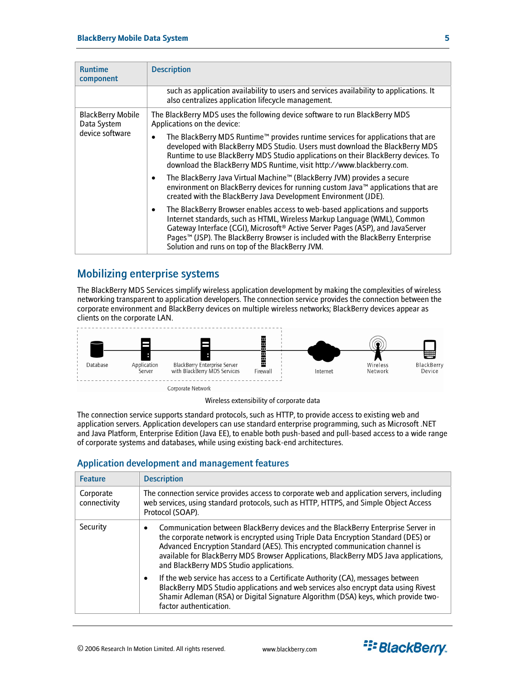<span id="page-4-0"></span>

| <b>Runtime</b><br>component                                | <b>Description</b>                                                                                                                                                                                                                                                                                                                                                                                       |  |  |
|------------------------------------------------------------|----------------------------------------------------------------------------------------------------------------------------------------------------------------------------------------------------------------------------------------------------------------------------------------------------------------------------------------------------------------------------------------------------------|--|--|
|                                                            | such as application availability to users and services availability to applications. It<br>also centralizes application lifecycle management.                                                                                                                                                                                                                                                            |  |  |
| <b>BlackBerry Mobile</b><br>Data System<br>device software | The BlackBerry MDS uses the following device software to run BlackBerry MDS<br>Applications on the device:                                                                                                                                                                                                                                                                                               |  |  |
|                                                            | The BlackBerry MDS Runtime™ provides runtime services for applications that are<br>$\bullet$<br>developed with BlackBerry MDS Studio. Users must download the BlackBerry MDS<br>Runtime to use BlackBerry MDS Studio applications on their BlackBerry devices. To<br>download the BlackBerry MDS Runtime, visit http://www.blackberry.com.                                                               |  |  |
|                                                            | The BlackBerry Java Virtual Machine™ (BlackBerry JVM) provides a secure<br>$\bullet$<br>environment on BlackBerry devices for running custom Java™ applications that are<br>created with the BlackBerry Java Development Environment (JDE).                                                                                                                                                              |  |  |
|                                                            | The BlackBerry Browser enables access to web-based applications and supports<br>$\bullet$<br>Internet standards, such as HTML, Wireless Markup Language (WML), Common<br>Gateway Interface (CGI), Microsoft <sup>®</sup> Active Server Pages (ASP), and JavaServer<br>Pages™ (JSP). The BlackBerry Browser is included with the BlackBerry Enterprise<br>Solution and runs on top of the BlackBerry JVM. |  |  |

# Mobilizing enterprise systems

The BlackBerry MDS Services simplify wireless application development by making the complexities of wireless networking transparent to application developers. The connection service provides the connection between the corporate environment and BlackBerry devices on multiple wireless networks; BlackBerry devices appear as clients on the corporate LAN.



Wireless extensibility of corporate data

The connection service supports standard protocols, such as HTTP, to provide access to existing web and application servers. Application developers can use standard enterprise programming, such as Microsoft .NET and Java Platform, Enterprise Edition (Java EE), to enable both push-based and pull-based access to a wide range of corporate systems and databases, while using existing back-end architectures.

# Application development and management features

| <b>Feature</b>            | <b>Description</b>                                                                                                                                                                                                                                                                                                                                                                           |
|---------------------------|----------------------------------------------------------------------------------------------------------------------------------------------------------------------------------------------------------------------------------------------------------------------------------------------------------------------------------------------------------------------------------------------|
| Corporate<br>connectivity | The connection service provides access to corporate web and application servers, including<br>web services, using standard protocols, such as HTTP, HTTPS, and Simple Object Access<br>Protocol (SOAP).                                                                                                                                                                                      |
| Security                  | Communication between BlackBerry devices and the BlackBerry Enterprise Server in<br>٠<br>the corporate network is encrypted using Triple Data Encryption Standard (DES) or<br>Advanced Encryption Standard (AES). This encrypted communication channel is<br>available for BlackBerry MDS Browser Applications, BlackBerry MDS Java applications,<br>and BlackBerry MDS Studio applications. |
|                           | If the web service has access to a Certificate Authority (CA), messages between<br>٠<br>BlackBerry MDS Studio applications and web services also encrypt data using Rivest<br>Shamir Adleman (RSA) or Digital Signature Algorithm (DSA) keys, which provide two-<br>factor authentication.                                                                                                   |

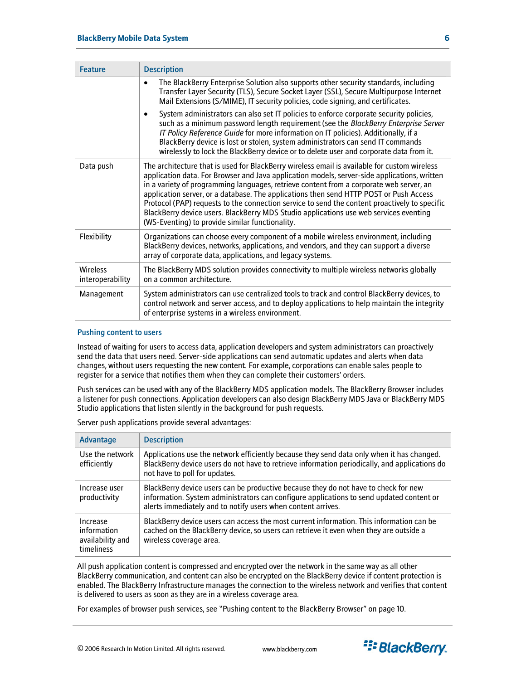| <b>Feature</b>                      | <b>Description</b>                                                                                                                                                                                                                                                                                                                                                                                                                                                                                                                                                                                                             |
|-------------------------------------|--------------------------------------------------------------------------------------------------------------------------------------------------------------------------------------------------------------------------------------------------------------------------------------------------------------------------------------------------------------------------------------------------------------------------------------------------------------------------------------------------------------------------------------------------------------------------------------------------------------------------------|
|                                     | The BlackBerry Enterprise Solution also supports other security standards, including<br>$\bullet$<br>Transfer Layer Security (TLS), Secure Socket Layer (SSL), Secure Multipurpose Internet<br>Mail Extensions (S/MIME), IT security policies, code signing, and certificates.                                                                                                                                                                                                                                                                                                                                                 |
|                                     | System administrators can also set IT policies to enforce corporate security policies,<br>$\bullet$<br>such as a minimum password length requirement (see the BlackBerry Enterprise Server<br>IT Policy Reference Guide for more information on IT policies). Additionally, if a<br>BlackBerry device is lost or stolen, system administrators can send IT commands<br>wirelessly to lock the BlackBerry device or to delete user and corporate data from it.                                                                                                                                                                  |
| Data push                           | The architecture that is used for BlackBerry wireless email is available for custom wireless<br>application data. For Browser and Java application models, server-side applications, written<br>in a variety of programming languages, retrieve content from a corporate web server, an<br>application server, or a database. The applications then send HTTP POST or Push Access<br>Protocol (PAP) requests to the connection service to send the content proactively to specific<br>BlackBerry device users. BlackBerry MDS Studio applications use web services eventing<br>(WS-Eventing) to provide similar functionality. |
| Flexibility                         | Organizations can choose every component of a mobile wireless environment, including<br>BlackBerry devices, networks, applications, and vendors, and they can support a diverse<br>array of corporate data, applications, and legacy systems.                                                                                                                                                                                                                                                                                                                                                                                  |
| <b>Wireless</b><br>interoperability | The BlackBerry MDS solution provides connectivity to multiple wireless networks globally<br>on a common architecture.                                                                                                                                                                                                                                                                                                                                                                                                                                                                                                          |
| Management                          | System administrators can use centralized tools to track and control BlackBerry devices, to<br>control network and server access, and to deploy applications to help maintain the integrity<br>of enterprise systems in a wireless environment.                                                                                                                                                                                                                                                                                                                                                                                |

#### Pushing content to users

Instead of waiting for users to access data, application developers and system administrators can proactively send the data that users need. Server-side applications can send automatic updates and alerts when data changes, without users requesting the new content. For example, corporations can enable sales people to register for a service that notifies them when they can complete their customers' orders.

Push services can be used with any of the BlackBerry MDS application models. The BlackBerry Browser includes a listener for push connections. Application developers can also design BlackBerry MDS Java or BlackBerry MDS Studio applications that listen silently in the background for push requests.

| Advantage                                                 | <b>Description</b>                                                                                                                                                                                                                              |
|-----------------------------------------------------------|-------------------------------------------------------------------------------------------------------------------------------------------------------------------------------------------------------------------------------------------------|
| Use the network<br>efficiently                            | Applications use the network efficiently because they send data only when it has changed.<br>BlackBerry device users do not have to retrieve information periodically, and applications do<br>not have to poll for updates.                     |
| Increase user<br>productivity                             | BlackBerry device users can be productive because they do not have to check for new<br>information. System administrators can configure applications to send updated content or<br>alerts immediately and to notify users when content arrives. |
| Increase<br>information<br>availability and<br>timeliness | BlackBerry device users can access the most current information. This information can be<br>cached on the BlackBerry device, so users can retrieve it even when they are outside a<br>wireless coverage area.                                   |

Server push applications provide several advantages:

All push application content is compressed and encrypted over the network in the same way as all other BlackBerry communication, and content can also be encrypted on the BlackBerry device if content protection is enabled. The BlackBerry Infrastructure manages the connection to the wireless network and verifies that content is delivered to users as soon as they are in a wireless coverage area.

For examples of browser push services, see ["Pushing content to the BlackBerry Browser"](#page-9-1) on page [10.](#page-9-1) 

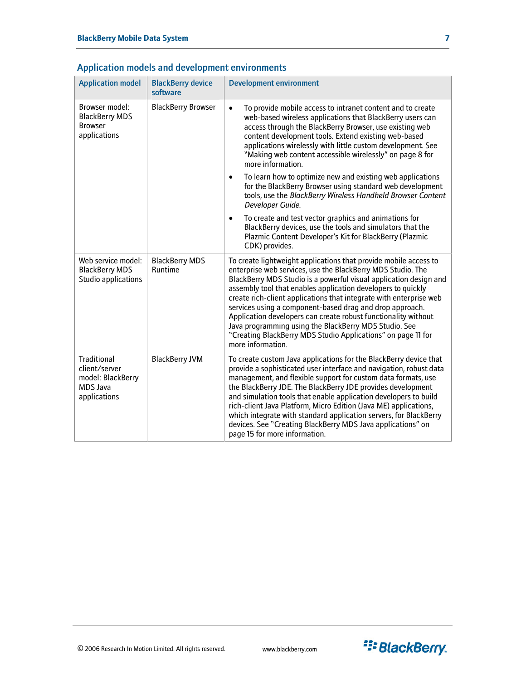| <b>Application model</b>                                                      | <b>BlackBerry device</b><br>software | <b>Development environment</b>                                                                                                                                                                                                                                                                                                                                                                                                                                                                                                                                                                                         |
|-------------------------------------------------------------------------------|--------------------------------------|------------------------------------------------------------------------------------------------------------------------------------------------------------------------------------------------------------------------------------------------------------------------------------------------------------------------------------------------------------------------------------------------------------------------------------------------------------------------------------------------------------------------------------------------------------------------------------------------------------------------|
| Browser model:<br><b>BlackBerry MDS</b><br><b>Browser</b><br>applications     | <b>BlackBerry Browser</b>            | To provide mobile access to intranet content and to create<br>$\bullet$<br>web-based wireless applications that BlackBerry users can<br>access through the BlackBerry Browser, use existing web<br>content development tools. Extend existing web-based<br>applications wirelessly with little custom development. See<br>"Making web content accessible wirelessly" on page 8 for<br>more information.                                                                                                                                                                                                                |
|                                                                               |                                      | To learn how to optimize new and existing web applications<br>$\bullet$<br>for the BlackBerry Browser using standard web development<br>tools, use the BlackBerry Wireless Handheld Browser Content<br>Developer Guide.                                                                                                                                                                                                                                                                                                                                                                                                |
|                                                                               |                                      | To create and test vector graphics and animations for<br>$\bullet$<br>BlackBerry devices, use the tools and simulators that the<br>Plazmic Content Developer's Kit for BlackBerry (Plazmic<br>CDK) provides.                                                                                                                                                                                                                                                                                                                                                                                                           |
| Web service model:<br><b>BlackBerry MDS</b><br>Studio applications            | <b>BlackBerry MDS</b><br>Runtime     | To create lightweight applications that provide mobile access to<br>enterprise web services, use the BlackBerry MDS Studio. The<br>BlackBerry MDS Studio is a powerful visual application design and<br>assembly tool that enables application developers to quickly<br>create rich-client applications that integrate with enterprise web<br>services using a component-based drag and drop approach.<br>Application developers can create robust functionality without<br>Java programming using the BlackBerry MDS Studio. See<br>"Creating BlackBerry MDS Studio Applications" on page 11 for<br>more information. |
| Traditional<br>client/server<br>model: BlackBerry<br>MDS Java<br>applications | <b>BlackBerry JVM</b>                | To create custom Java applications for the BlackBerry device that<br>provide a sophisticated user interface and navigation, robust data<br>management, and flexible support for custom data formats, use<br>the BlackBerry JDE. The BlackBerry JDE provides development<br>and simulation tools that enable application developers to build<br>rich-client Java Platform, Micro Edition (Java ME) applications,<br>which integrate with standard application servers, for BlackBerry<br>devices. See "Creating BlackBerry MDS Java applications" on<br>page 15 for more information.                                   |

# <span id="page-6-0"></span>Application models and development environments

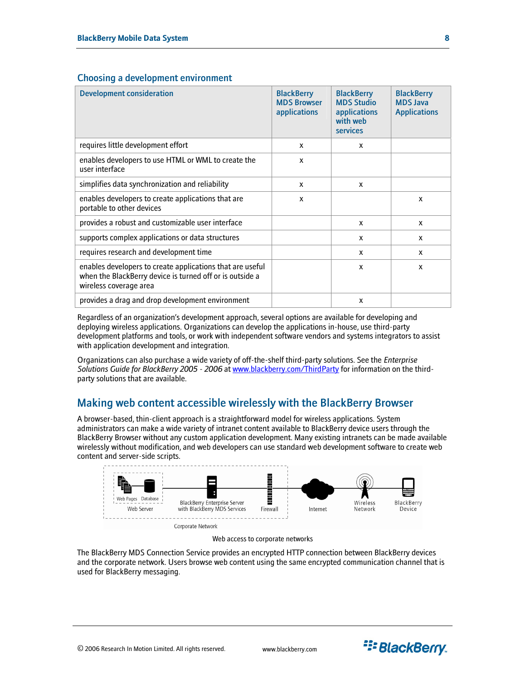| <b>Development consideration</b>                                                                                                                | <b>BlackBerry</b><br><b>MDS Browser</b><br>applications | <b>BlackBerry</b><br><b>MDS Studio</b><br>applications<br>with web<br>services | <b>BlackBerry</b><br><b>MDS Java</b><br><b>Applications</b> |
|-------------------------------------------------------------------------------------------------------------------------------------------------|---------------------------------------------------------|--------------------------------------------------------------------------------|-------------------------------------------------------------|
| requires little development effort                                                                                                              | X                                                       | X                                                                              |                                                             |
| enables developers to use HTML or WML to create the<br>user interface                                                                           | X                                                       |                                                                                |                                                             |
| simplifies data synchronization and reliability                                                                                                 | X                                                       | X                                                                              |                                                             |
| enables developers to create applications that are<br>portable to other devices                                                                 | X                                                       |                                                                                | $\mathbf{x}$                                                |
| provides a robust and customizable user interface                                                                                               |                                                         | X                                                                              | X                                                           |
| supports complex applications or data structures                                                                                                |                                                         | x                                                                              | x                                                           |
| requires research and development time                                                                                                          |                                                         | X                                                                              | x                                                           |
| enables developers to create applications that are useful<br>when the BlackBerry device is turned off or is outside a<br>wireless coverage area |                                                         | X                                                                              | X                                                           |
| provides a drag and drop development environment                                                                                                |                                                         | X                                                                              |                                                             |

### <span id="page-7-0"></span>Choosing a development environment

Regardless of an organization's development approach, several options are available for developing and deploying wireless applications. Organizations can develop the applications in-house, use third-party development platforms and tools, or work with independent software vendors and systems integrators to assist with application development and integration.

Organizations can also purchase a wide variety of off-the-shelf third-party solutions. See the *Enterprise Solutions Guide for BlackBerry 2005 - 2006* at [www.blackberry.com/ThirdParty](http://www.blackberry.com/ThirdParty) for information on the thirdparty solutions that are available.

# <span id="page-7-1"></span>Making web content accessible wirelessly with the BlackBerry Browser

A browser-based, thin-client approach is a straightforward model for wireless applications. System administrators can make a wide variety of intranet content available to BlackBerry device users through the BlackBerry Browser without any custom application development. Many existing intranets can be made available wirelessly without modification, and web developers can use standard web development software to create web content and server-side scripts.





The BlackBerry MDS Connection Service provides an encrypted HTTP connection between BlackBerry devices and the corporate network. Users browse web content using the same encrypted communication channel that is used for BlackBerry messaging.

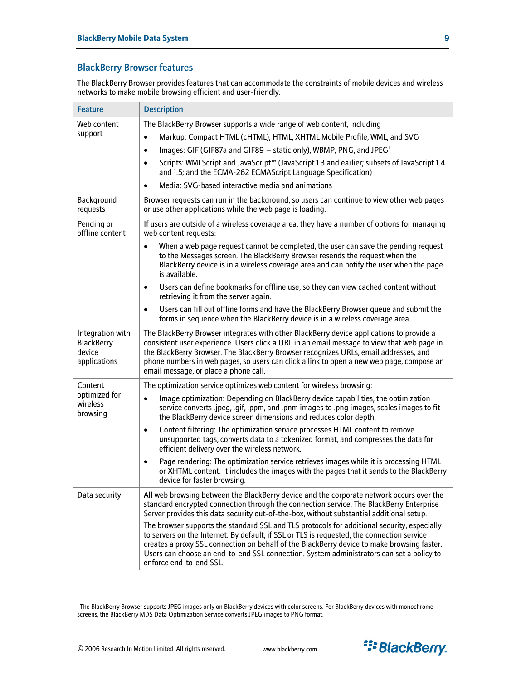# <span id="page-8-0"></span>BlackBerry Browser features

The BlackBerry Browser provides features that can accommodate the constraints of mobile devices and wireless networks to make mobile browsing efficient and user-friendly.

| <b>Feature</b>                                           | <b>Description</b>                                                                                                                                                                                                                                                                                                                                                                                                                                                                                                                                                                                                                                                                                                                                                                                          |
|----------------------------------------------------------|-------------------------------------------------------------------------------------------------------------------------------------------------------------------------------------------------------------------------------------------------------------------------------------------------------------------------------------------------------------------------------------------------------------------------------------------------------------------------------------------------------------------------------------------------------------------------------------------------------------------------------------------------------------------------------------------------------------------------------------------------------------------------------------------------------------|
| Web content<br>support                                   | The BlackBerry Browser supports a wide range of web content, including<br>Markup: Compact HTML (cHTML), HTML, XHTML Mobile Profile, WML, and SVG<br>$\bullet$<br>Images: GIF (GIF87a and GIF89 - static only), WBMP, PNG, and JPEG <sup>1</sup><br>$\bullet$<br>Scripts: WMLScript and JavaScript™ (JavaScript 1.3 and earlier; subsets of JavaScript 1.4<br>$\bullet$<br>and 1.5; and the ECMA-262 ECMAScript Language Specification)<br>Media: SVG-based interactive media and animations<br>$\bullet$                                                                                                                                                                                                                                                                                                    |
| Background<br>requests                                   | Browser requests can run in the background, so users can continue to view other web pages<br>or use other applications while the web page is loading.                                                                                                                                                                                                                                                                                                                                                                                                                                                                                                                                                                                                                                                       |
| Pending or<br>offline content                            | If users are outside of a wireless coverage area, they have a number of options for managing<br>web content requests:<br>When a web page request cannot be completed, the user can save the pending request<br>$\bullet$<br>to the Messages screen. The BlackBerry Browser resends the request when the<br>BlackBerry device is in a wireless coverage area and can notify the user when the page<br>is available.<br>Users can define bookmarks for offline use, so they can view cached content without<br>$\bullet$<br>retrieving it from the server again.<br>Users can fill out offline forms and have the BlackBerry Browser queue and submit the<br>$\bullet$<br>forms in sequence when the BlackBerry device is in a wireless coverage area.                                                        |
| Integration with<br>BlackBerry<br>device<br>applications | The BlackBerry Browser integrates with other BlackBerry device applications to provide a<br>consistent user experience. Users click a URL in an email message to view that web page in<br>the BlackBerry Browser. The BlackBerry Browser recognizes URLs, email addresses, and<br>phone numbers in web pages, so users can click a link to open a new web page, compose an<br>email message, or place a phone call.                                                                                                                                                                                                                                                                                                                                                                                         |
| Content<br>optimized for<br>wireless<br>browsing         | The optimization service optimizes web content for wireless browsing:<br>Image optimization: Depending on BlackBerry device capabilities, the optimization<br>$\bullet$<br>service converts .jpeg, .gif, .ppm, and .pnm images to .png images, scales images to fit<br>the BlackBerry device screen dimensions and reduces color depth.<br>Content filtering: The optimization service processes HTML content to remove<br>$\bullet$<br>unsupported tags, converts data to a tokenized format, and compresses the data for<br>efficient delivery over the wireless network.<br>Page rendering: The optimization service retrieves images while it is processing HTML<br>$\bullet$<br>or XHTML content. It includes the images with the pages that it sends to the BlackBerry<br>device for faster browsing. |
| Data security                                            | All web browsing between the BlackBerry device and the corporate network occurs over the<br>standard encrypted connection through the connection service. The BlackBerry Enterprise<br>Server provides this data security out-of-the-box, without substantial additional setup.<br>The browser supports the standard SSL and TLS protocols for additional security, especially<br>to servers on the Internet. By default, if SSL or TLS is requested, the connection service<br>creates a proxy SSL connection on behalf of the BlackBerry device to make browsing faster.<br>Users can choose an end-to-end SSL connection. System administrators can set a policy to<br>enforce end-to-end SSL.                                                                                                           |

<span id="page-8-1"></span><sup>1</sup> The BlackBerry Browser supports JPEG images only on BlackBerry devices with color screens. For BlackBerry devices with monochrome screens, the BlackBerry MDS Data Optimization Service converts JPEG images to PNG format.

 $\overline{a}$ 

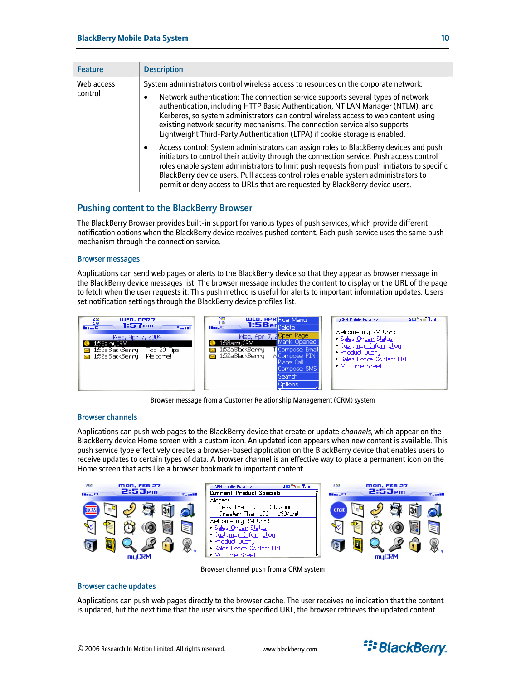<span id="page-9-0"></span>

| <b>Feature</b>        | <b>Description</b>                                                                                                                                                                                                                                                                                                                                                                                                                                                                                              |
|-----------------------|-----------------------------------------------------------------------------------------------------------------------------------------------------------------------------------------------------------------------------------------------------------------------------------------------------------------------------------------------------------------------------------------------------------------------------------------------------------------------------------------------------------------|
| Web access<br>control | System administrators control wireless access to resources on the corporate network.<br>Network authentication: The connection service supports several types of network<br>authentication, including HTTP Basic Authentication, NT LAN Manager (NTLM), and<br>Kerberos, so system administrators can control wireless access to web content using<br>existing network security mechanisms. The connection service also supports<br>Lightweight Third-Party Authentication (LTPA) if cookie storage is enabled. |
|                       | Access control: System administrators can assign roles to BlackBerry devices and push<br>initiators to control their activity through the connection service. Push access control<br>roles enable system administrators to limit push requests from push initiators to specific<br>BlackBerry device users. Pull access control roles enable system administrators to<br>permit or deny access to URLs that are requested by BlackBerry device users.                                                           |

# <span id="page-9-1"></span>Pushing content to the BlackBerry Browser

The BlackBerry Browser provides built-in support for various types of push services, which provide different notification options when the BlackBerry device receives pushed content. Each push service uses the same push mechanism through the connection service.

#### Browser messages

Applications can send web pages or alerts to the BlackBerry device so that they appear as browser message in the BlackBerry device messages list. The browser message includes the content to display or the URL of the page to fetch when the user requests it. This push method is useful for alerts to important information updates. Users set notification settings through the BlackBerry device profiles list.



Browser message from a Customer Relationship Management (CRM) system

#### Browser channels

Applications can push web pages to the BlackBerry device that create or update *channels*, which appear on the BlackBerry device Home screen with a custom icon. An updated icon appears when new content is available. This push service type effectively creates a browser-based application on the BlackBerry device that enables users to receive updates to certain types of data. A browser channel is an effective way to place a permanent icon on the Home screen that acts like a browser bookmark to important content.



Browser channel push from a CRM system

#### Browser cache updates

Applications can push web pages directly to the browser cache. The user receives no indication that the content is updated, but the next time that the user visits the specified URL, the browser retrieves the updated content

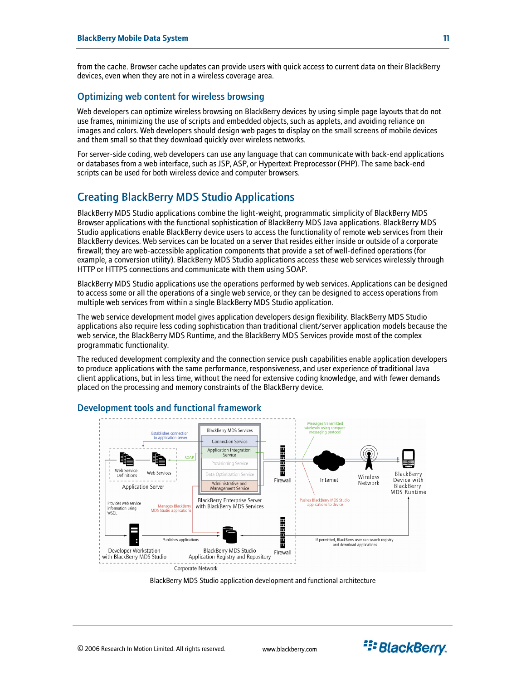<span id="page-10-0"></span>from the cache. Browser cache updates can provide users with quick access to current data on their BlackBerry devices, even when they are not in a wireless coverage area.

### Optimizing web content for wireless browsing

Web developers can optimize wireless browsing on BlackBerry devices by using simple page layouts that do not use frames, minimizing the use of scripts and embedded objects, such as applets, and avoiding reliance on images and colors. Web developers should design web pages to display on the small screens of mobile devices and them small so that they download quickly over wireless networks.

For server-side coding, web developers can use any language that can communicate with back-end applications or databases from a web interface, such as JSP, ASP, or Hypertext Preprocessor (PHP). The same back-end scripts can be used for both wireless device and computer browsers.

# <span id="page-10-1"></span>Creating BlackBerry MDS Studio Applications

BlackBerry MDS Studio applications combine the light-weight, programmatic simplicity of BlackBerry MDS Browser applications with the functional sophistication of BlackBerry MDS Java applications. BlackBerry MDS Studio applications enable BlackBerry device users to access the functionality of remote web services from their BlackBerry devices. Web services can be located on a server that resides either inside or outside of a corporate firewall; they are web-accessible application components that provide a set of well-defined operations (for example, a conversion utility). BlackBerry MDS Studio applications access these web services wirelessly through HTTP or HTTPS connections and communicate with them using SOAP.

BlackBerry MDS Studio applications use the operations performed by web services. Applications can be designed to access some or all the operations of a single web service, or they can be designed to access operations from multiple web services from within a single BlackBerry MDS Studio application.

The web service development model gives application developers design flexibility. BlackBerry MDS Studio applications also require less coding sophistication than traditional client/server application models because the web service, the BlackBerry MDS Runtime, and the BlackBerry MDS Services provide most of the complex programmatic functionality.

The reduced development complexity and the connection service push capabilities enable application developers to produce applications with the same performance, responsiveness, and user experience of traditional Java client applications, but in less time, without the need for extensive coding knowledge, and with fewer demands placed on the processing and memory constraints of the BlackBerry device.



#### Development tools and functional framework



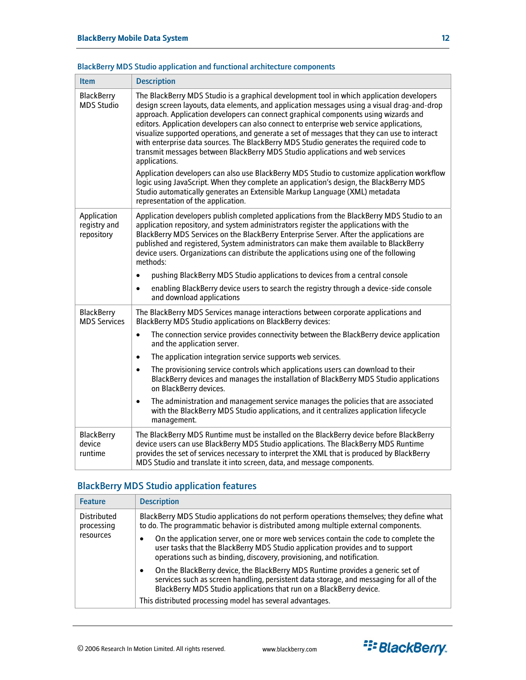| <b>Item</b>                               | <b>Description</b>                                                                                                                                                                                                                                                                                                                                                                                                                                                                                                                                                                                                                                                      |
|-------------------------------------------|-------------------------------------------------------------------------------------------------------------------------------------------------------------------------------------------------------------------------------------------------------------------------------------------------------------------------------------------------------------------------------------------------------------------------------------------------------------------------------------------------------------------------------------------------------------------------------------------------------------------------------------------------------------------------|
| <b>BlackBerry</b><br><b>MDS Studio</b>    | The BlackBerry MDS Studio is a graphical development tool in which application developers<br>design screen layouts, data elements, and application messages using a visual drag-and-drop<br>approach. Application developers can connect graphical components using wizards and<br>editors. Application developers can also connect to enterprise web service applications,<br>visualize supported operations, and generate a set of messages that they can use to interact<br>with enterprise data sources. The BlackBerry MDS Studio generates the required code to<br>transmit messages between BlackBerry MDS Studio applications and web services<br>applications. |
|                                           | Application developers can also use BlackBerry MDS Studio to customize application workflow<br>logic using JavaScript. When they complete an application's design, the BlackBerry MDS<br>Studio automatically generates an Extensible Markup Language (XML) metadata<br>representation of the application.                                                                                                                                                                                                                                                                                                                                                              |
| Application<br>registry and<br>repository | Application developers publish completed applications from the BlackBerry MDS Studio to an<br>application repository, and system administrators register the applications with the<br>BlackBerry MDS Services on the BlackBerry Enterprise Server. After the applications are<br>published and registered, System administrators can make them available to BlackBerry<br>device users. Organizations can distribute the applications using one of the following<br>methods:                                                                                                                                                                                            |
|                                           | pushing BlackBerry MDS Studio applications to devices from a central console                                                                                                                                                                                                                                                                                                                                                                                                                                                                                                                                                                                            |
|                                           | enabling BlackBerry device users to search the registry through a device-side console<br>$\bullet$<br>and download applications                                                                                                                                                                                                                                                                                                                                                                                                                                                                                                                                         |
| <b>BlackBerry</b><br><b>MDS Services</b>  | The BlackBerry MDS Services manage interactions between corporate applications and<br><b>BlackBerry MDS Studio applications on BlackBerry devices:</b>                                                                                                                                                                                                                                                                                                                                                                                                                                                                                                                  |
|                                           | The connection service provides connectivity between the BlackBerry device application<br>$\bullet$<br>and the application server.                                                                                                                                                                                                                                                                                                                                                                                                                                                                                                                                      |
|                                           | The application integration service supports web services.<br>$\bullet$                                                                                                                                                                                                                                                                                                                                                                                                                                                                                                                                                                                                 |
|                                           | The provisioning service controls which applications users can download to their<br>$\bullet$<br>BlackBerry devices and manages the installation of BlackBerry MDS Studio applications<br>on BlackBerry devices.                                                                                                                                                                                                                                                                                                                                                                                                                                                        |
|                                           | The administration and management service manages the policies that are associated<br>$\bullet$<br>with the BlackBerry MDS Studio applications, and it centralizes application lifecycle<br>management.                                                                                                                                                                                                                                                                                                                                                                                                                                                                 |
| <b>BlackBerry</b><br>device<br>runtime    | The BlackBerry MDS Runtime must be installed on the BlackBerry device before BlackBerry<br>device users can use BlackBerry MDS Studio applications. The BlackBerry MDS Runtime<br>provides the set of services necessary to interpret the XML that is produced by BlackBerry<br>MDS Studio and translate it into screen, data, and message components.                                                                                                                                                                                                                                                                                                                  |

# <span id="page-11-0"></span>BlackBerry MDS Studio application and functional architecture components

# BlackBerry MDS Studio application features

| <b>Feature</b>                                | <b>Description</b>                                                                                                                                                                                                                                            |
|-----------------------------------------------|---------------------------------------------------------------------------------------------------------------------------------------------------------------------------------------------------------------------------------------------------------------|
| <b>Distributed</b><br>processing<br>resources | BlackBerry MDS Studio applications do not perform operations themselves; they define what<br>to do. The programmatic behavior is distributed among multiple external components.                                                                              |
|                                               | On the application server, one or more web services contain the code to complete the<br>user tasks that the BlackBerry MDS Studio application provides and to support<br>operations such as binding, discovery, provisioning, and notification.               |
|                                               | On the BlackBerry device, the BlackBerry MDS Runtime provides a generic set of<br>$\bullet$<br>services such as screen handling, persistent data storage, and messaging for all of the<br>BlackBerry MDS Studio applications that run on a BlackBerry device. |
|                                               | This distributed processing model has several advantages.                                                                                                                                                                                                     |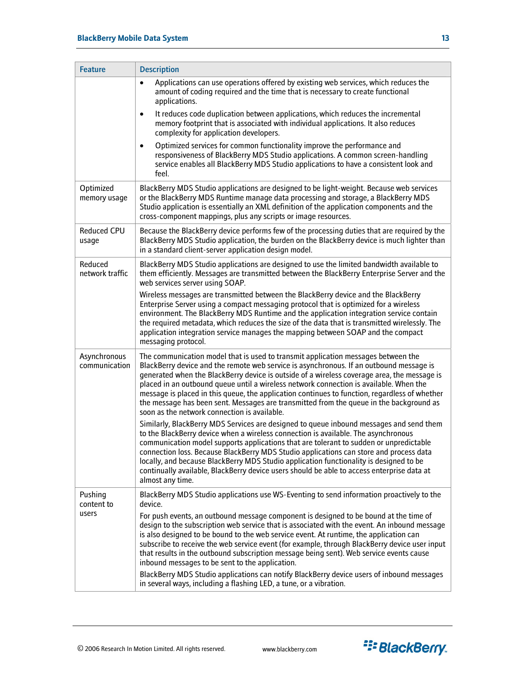| <b>Feature</b>                | <b>Description</b>                                                                                                                                                                                                                                                                                                                                                                                                                                                                                                                                                                                                |
|-------------------------------|-------------------------------------------------------------------------------------------------------------------------------------------------------------------------------------------------------------------------------------------------------------------------------------------------------------------------------------------------------------------------------------------------------------------------------------------------------------------------------------------------------------------------------------------------------------------------------------------------------------------|
|                               | Applications can use operations offered by existing web services, which reduces the<br>$\bullet$<br>amount of coding required and the time that is necessary to create functional<br>applications.                                                                                                                                                                                                                                                                                                                                                                                                                |
|                               | It reduces code duplication between applications, which reduces the incremental<br>٠<br>memory footprint that is associated with individual applications. It also reduces<br>complexity for application developers.                                                                                                                                                                                                                                                                                                                                                                                               |
|                               | Optimized services for common functionality improve the performance and<br>$\bullet$<br>responsiveness of BlackBerry MDS Studio applications. A common screen-handling<br>service enables all BlackBerry MDS Studio applications to have a consistent look and<br>feel.                                                                                                                                                                                                                                                                                                                                           |
| Optimized<br>memory usage     | BlackBerry MDS Studio applications are designed to be light-weight. Because web services<br>or the BlackBerry MDS Runtime manage data processing and storage, a BlackBerry MDS<br>Studio application is essentially an XML definition of the application components and the<br>cross-component mappings, plus any scripts or image resources.                                                                                                                                                                                                                                                                     |
| <b>Reduced CPU</b><br>usage   | Because the BlackBerry device performs few of the processing duties that are required by the<br>BlackBerry MDS Studio application, the burden on the BlackBerry device is much lighter than<br>in a standard client-server application design model.                                                                                                                                                                                                                                                                                                                                                              |
| Reduced<br>network traffic    | BlackBerry MDS Studio applications are designed to use the limited bandwidth available to<br>them efficiently. Messages are transmitted between the BlackBerry Enterprise Server and the<br>web services server using SOAP.                                                                                                                                                                                                                                                                                                                                                                                       |
|                               | Wireless messages are transmitted between the BlackBerry device and the BlackBerry<br>Enterprise Server using a compact messaging protocol that is optimized for a wireless<br>environment. The BlackBerry MDS Runtime and the application integration service contain<br>the required metadata, which reduces the size of the data that is transmitted wirelessly. The<br>application integration service manages the mapping between SOAP and the compact<br>messaging protocol.                                                                                                                                |
| Asynchronous<br>communication | The communication model that is used to transmit application messages between the<br>BlackBerry device and the remote web service is asynchronous. If an outbound message is<br>generated when the BlackBerry device is outside of a wireless coverage area, the message is<br>placed in an outbound queue until a wireless network connection is available. When the<br>message is placed in this queue, the application continues to function, regardless of whether<br>the message has been sent. Messages are transmitted from the queue in the background as<br>soon as the network connection is available. |
|                               | Similarly, BlackBerry MDS Services are designed to queue inbound messages and send them<br>to the BlackBerry device when a wireless connection is available. The asynchronous<br>communication model supports applications that are tolerant to sudden or unpredictable<br>connection loss. Because BlackBerry MDS Studio applications can store and process data<br>locally, and because BlackBerry MDS Studio application functionality is designed to be<br>continually available, BlackBerry device users should be able to access enterprise data at<br>almost any time.                                     |
| Pushing<br>content to         | BlackBerry MDS Studio applications use WS-Eventing to send information proactively to the<br>device.                                                                                                                                                                                                                                                                                                                                                                                                                                                                                                              |
| users                         | For push events, an outbound message component is designed to be bound at the time of<br>design to the subscription web service that is associated with the event. An inbound message<br>is also designed to be bound to the web service event. At runtime, the application can<br>subscribe to receive the web service event (for example, through BlackBerry device user input<br>that results in the outbound subscription message being sent). Web service events cause<br>inbound messages to be sent to the application.                                                                                    |
|                               | BlackBerry MDS Studio applications can notify BlackBerry device users of inbound messages<br>in several ways, including a flashing LED, a tune, or a vibration.                                                                                                                                                                                                                                                                                                                                                                                                                                                   |

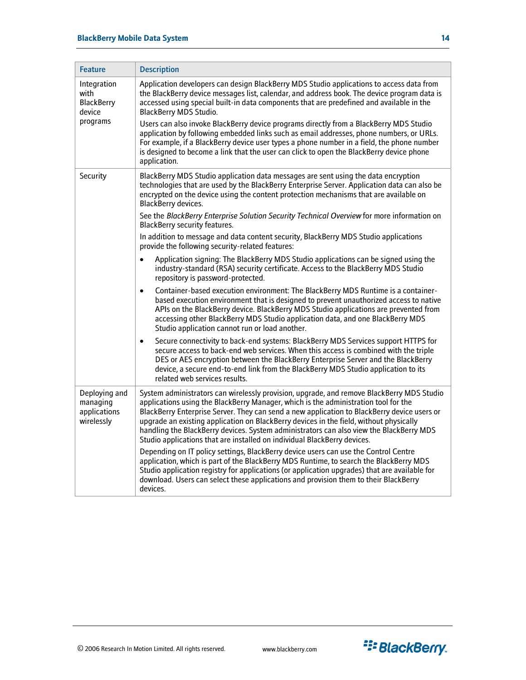| <b>Feature</b>                                                 | <b>Description</b>                                                                                                                                                                                                                                                                                                                                                                                                                                                                                                                               |
|----------------------------------------------------------------|--------------------------------------------------------------------------------------------------------------------------------------------------------------------------------------------------------------------------------------------------------------------------------------------------------------------------------------------------------------------------------------------------------------------------------------------------------------------------------------------------------------------------------------------------|
| Integration<br>with<br><b>BlackBerry</b><br>device<br>programs | Application developers can design BlackBerry MDS Studio applications to access data from<br>the BlackBerry device messages list, calendar, and address book. The device program data is<br>accessed using special built-in data components that are predefined and available in the<br><b>BlackBerry MDS Studio.</b>                                                                                                                                                                                                                             |
|                                                                | Users can also invoke BlackBerry device programs directly from a BlackBerry MDS Studio<br>application by following embedded links such as email addresses, phone numbers, or URLs.<br>For example, if a BlackBerry device user types a phone number in a field, the phone number<br>is designed to become a link that the user can click to open the BlackBerry device phone<br>application.                                                                                                                                                     |
| Security                                                       | BlackBerry MDS Studio application data messages are sent using the data encryption<br>technologies that are used by the BlackBerry Enterprise Server. Application data can also be<br>encrypted on the device using the content protection mechanisms that are available on<br>BlackBerry devices.                                                                                                                                                                                                                                               |
|                                                                | See the BlackBerry Enterprise Solution Security Technical Overview for more information on<br>BlackBerry security features.                                                                                                                                                                                                                                                                                                                                                                                                                      |
|                                                                | In addition to message and data content security, BlackBerry MDS Studio applications<br>provide the following security-related features:                                                                                                                                                                                                                                                                                                                                                                                                         |
|                                                                | Application signing: The BlackBerry MDS Studio applications can be signed using the<br>$\bullet$<br>industry-standard (RSA) security certificate. Access to the BlackBerry MDS Studio<br>repository is password-protected.                                                                                                                                                                                                                                                                                                                       |
|                                                                | Container-based execution environment: The BlackBerry MDS Runtime is a container-<br>$\bullet$<br>based execution environment that is designed to prevent unauthorized access to native<br>APIs on the BlackBerry device. BlackBerry MDS Studio applications are prevented from<br>accessing other BlackBerry MDS Studio application data, and one BlackBerry MDS<br>Studio application cannot run or load another.                                                                                                                              |
|                                                                | Secure connectivity to back-end systems: BlackBerry MDS Services support HTTPS for<br>$\bullet$<br>secure access to back-end web services. When this access is combined with the triple<br>DES or AES encryption between the BlackBerry Enterprise Server and the BlackBerry<br>device, a secure end-to-end link from the BlackBerry MDS Studio application to its<br>related web services results.                                                                                                                                              |
| Deploying and<br>managing<br>applications<br>wirelessly        | System administrators can wirelessly provision, upgrade, and remove BlackBerry MDS Studio<br>applications using the BlackBerry Manager, which is the administration tool for the<br>BlackBerry Enterprise Server. They can send a new application to BlackBerry device users or<br>upgrade an existing application on BlackBerry devices in the field, without physically<br>handling the BlackBerry devices. System administrators can also view the BlackBerry MDS<br>Studio applications that are installed on individual BlackBerry devices. |
|                                                                | Depending on IT policy settings, BlackBerry device users can use the Control Centre<br>application, which is part of the BlackBerry MDS Runtime, to search the BlackBerry MDS<br>Studio application registry for applications (or application upgrades) that are available for<br>download. Users can select these applications and provision them to their BlackBerry<br>devices.                                                                                                                                                               |

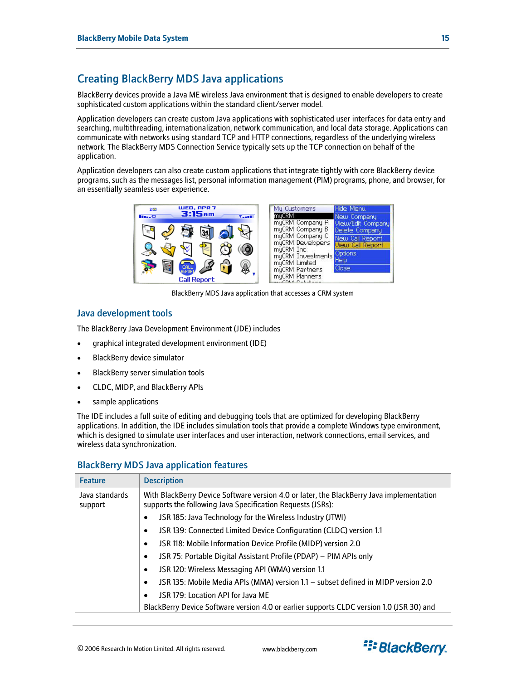# <span id="page-14-1"></span><span id="page-14-0"></span>Creating BlackBerry MDS Java applications

BlackBerry devices provide a Java ME wireless Java environment that is designed to enable developers to create sophisticated custom applications within the standard client/server model.

Application developers can create custom Java applications with sophisticated user interfaces for data entry and searching, multithreading, internationalization, network communication, and local data storage. Applications can communicate with networks using standard TCP and HTTP connections, regardless of the underlying wireless network. The BlackBerry MDS Connection Service typically sets up the TCP connection on behalf of the application.

Application developers can also create custom applications that integrate tightly with core BlackBerry device programs, such as the messages list, personal information management (PIM) programs, phone, and browser, for an essentially seamless user experience.

| WED, APR 7<br>2.23<br>3:15am | My Customers<br>Hide Menu                                             |
|------------------------------|-----------------------------------------------------------------------|
| <b>Base</b><br>$T = -1$      | muCRM<br>New Company.<br>myCRM Company A<br>View/Edit Company         |
| $\bar{m}$                    | myCRM Company B<br>Delete Company<br>myCRM Company C                  |
|                              | New Call Report<br>myCRM Developers<br>View Call Report<br>myCRM Inc. |
|                              | Options<br>myCRM Investments<br>Help                                  |
| CALL<br>REPORT               | myCRM Limited<br>Close<br>myCRM Partners                              |
| <b>Call Report</b>           | myCRM Planners<br>$C1$ $C2$ $C3$ $C4$ $C5$ $C6$                       |

BlackBerry MDS Java application that accesses a CRM system

### Java development tools

The BlackBerry Java Development Environment (JDE) includes

- graphical integrated development environment (IDE)
- BlackBerry device simulator
- BlackBerry server simulation tools
- CLDC, MIDP, and BlackBerry APIs
- sample applications

The IDE includes a full suite of editing and debugging tools that are optimized for developing BlackBerry applications. In addition, the IDE includes simulation tools that provide a complete Windows type environment, which is designed to simulate user interfaces and user interaction, network connections, email services, and wireless data synchronization.

### BlackBerry MDS Java application features

<span id="page-14-2"></span>

| <b>Feature</b>            | <b>Description</b>                                                                                                                                     |  |
|---------------------------|--------------------------------------------------------------------------------------------------------------------------------------------------------|--|
| Java standards<br>support | With BlackBerry Device Software version 4.0 or later, the BlackBerry Java implementation<br>supports the following Java Specification Requests (JSRs): |  |
|                           | JSR 185: Java Technology for the Wireless Industry (JTWI)                                                                                              |  |
|                           | JSR 139: Connected Limited Device Configuration (CLDC) version 1.1<br>$\bullet$                                                                        |  |
|                           | JSR 118: Mobile Information Device Profile (MIDP) version 2.0<br>$\bullet$                                                                             |  |
|                           | JSR 75: Portable Digital Assistant Profile (PDAP) - PIM APIs only<br>٠                                                                                 |  |
|                           | JSR 120: Wireless Messaging API (WMA) version 1.1<br>٠                                                                                                 |  |
|                           | JSR 135: Mobile Media APIs (MMA) version 1.1 - subset defined in MIDP version 2.0<br>$\bullet$                                                         |  |
|                           | JSR 179: Location API for Java ME<br>٠                                                                                                                 |  |
|                           | BlackBerry Device Software version 4.0 or earlier supports CLDC version 1.0 (JSR 30) and                                                               |  |

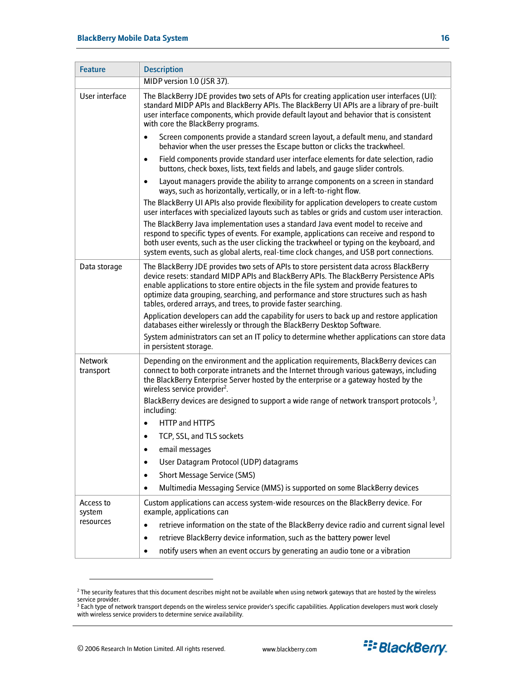| <b>Feature</b>              | <b>Description</b>                                                                                                                                                                                                                                                                                                                                                                                                                     |
|-----------------------------|----------------------------------------------------------------------------------------------------------------------------------------------------------------------------------------------------------------------------------------------------------------------------------------------------------------------------------------------------------------------------------------------------------------------------------------|
|                             | MIDP version 1.0 (JSR 37).                                                                                                                                                                                                                                                                                                                                                                                                             |
| User interface              | The BlackBerry JDE provides two sets of APIs for creating application user interfaces (UI):<br>standard MIDP APIs and BlackBerry APIs. The BlackBerry UI APIs are a library of pre-built<br>user interface components, which provide default layout and behavior that is consistent<br>with core the BlackBerry programs.                                                                                                              |
|                             | Screen components provide a standard screen layout, a default menu, and standard<br>$\bullet$<br>behavior when the user presses the Escape button or clicks the trackwheel.                                                                                                                                                                                                                                                            |
|                             | Field components provide standard user interface elements for date selection, radio<br>$\bullet$<br>buttons, check boxes, lists, text fields and labels, and gauge slider controls.                                                                                                                                                                                                                                                    |
|                             | Layout managers provide the ability to arrange components on a screen in standard<br>$\bullet$<br>ways, such as horizontally, vertically, or in a left-to-right flow.                                                                                                                                                                                                                                                                  |
|                             | The BlackBerry UI APIs also provide flexibility for application developers to create custom<br>user interfaces with specialized layouts such as tables or grids and custom user interaction.                                                                                                                                                                                                                                           |
|                             | The BlackBerry Java implementation uses a standard Java event model to receive and<br>respond to specific types of events. For example, applications can receive and respond to<br>both user events, such as the user clicking the trackwheel or typing on the keyboard, and<br>system events, such as global alerts, real-time clock changes, and USB port connections.                                                               |
| Data storage                | The BlackBerry JDE provides two sets of APIs to store persistent data across BlackBerry<br>device resets: standard MIDP APIs and BlackBerry APIs. The BlackBerry Persistence APIs<br>enable applications to store entire objects in the file system and provide features to<br>optimize data grouping, searching, and performance and store structures such as hash<br>tables, ordered arrays, and trees, to provide faster searching. |
|                             | Application developers can add the capability for users to back up and restore application<br>databases either wirelessly or through the BlackBerry Desktop Software.                                                                                                                                                                                                                                                                  |
|                             | System administrators can set an IT policy to determine whether applications can store data<br>in persistent storage.                                                                                                                                                                                                                                                                                                                  |
| <b>Network</b><br>transport | Depending on the environment and the application requirements, BlackBerry devices can<br>connect to both corporate intranets and the Internet through various gateways, including<br>the BlackBerry Enterprise Server hosted by the enterprise or a gateway hosted by the<br>wireless service provider <sup>2</sup> .                                                                                                                  |
|                             | BlackBerry devices are designed to support a wide range of network transport protocols $3$ ,<br>including:                                                                                                                                                                                                                                                                                                                             |
|                             | HTTP and HTTPS<br>$\bullet$                                                                                                                                                                                                                                                                                                                                                                                                            |
|                             | TCP, SSL, and TLS sockets<br>$\bullet$                                                                                                                                                                                                                                                                                                                                                                                                 |
|                             | email messages<br>$\bullet$                                                                                                                                                                                                                                                                                                                                                                                                            |
|                             | User Datagram Protocol (UDP) datagrams<br>٠                                                                                                                                                                                                                                                                                                                                                                                            |
|                             | <b>Short Message Service (SMS)</b><br>٠                                                                                                                                                                                                                                                                                                                                                                                                |
|                             | Multimedia Messaging Service (MMS) is supported on some BlackBerry devices<br>$\bullet$                                                                                                                                                                                                                                                                                                                                                |
| Access to<br>system         | Custom applications can access system-wide resources on the BlackBerry device. For<br>example, applications can                                                                                                                                                                                                                                                                                                                        |
| resources                   | retrieve information on the state of the BlackBerry device radio and current signal level<br>$\bullet$                                                                                                                                                                                                                                                                                                                                 |
|                             | retrieve BlackBerry device information, such as the battery power level                                                                                                                                                                                                                                                                                                                                                                |
|                             | notify users when an event occurs by generating an audio tone or a vibration<br>$\bullet$                                                                                                                                                                                                                                                                                                                                              |

<span id="page-15-0"></span> $^2$  The security features that this document describes might not be available when using network gateways that are hosted by the wireless service provider.<br><sup>3</sup> Each type of network transport depends on the wireless service provider's specific capabilities. Application developers must work closely

 $\overline{a}$ 



<span id="page-15-1"></span>with wireless service providers to determine service availability.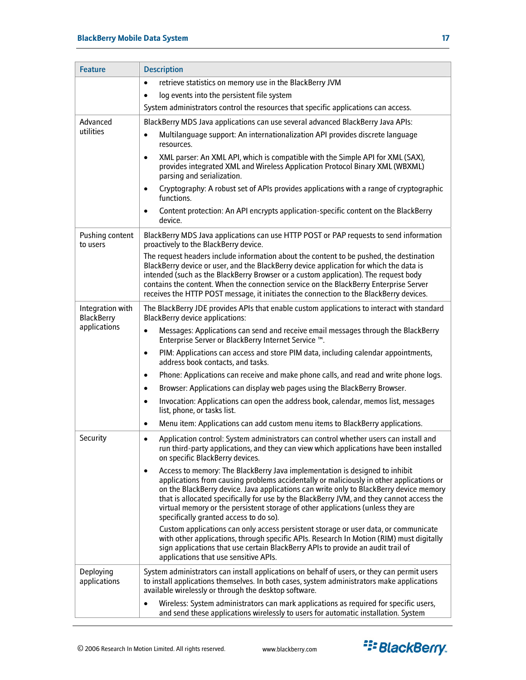| <b>Feature</b>                        | <b>Description</b>                                                                                                                                                                                                                                                                                                                                                                                                                                                                                     |  |
|---------------------------------------|--------------------------------------------------------------------------------------------------------------------------------------------------------------------------------------------------------------------------------------------------------------------------------------------------------------------------------------------------------------------------------------------------------------------------------------------------------------------------------------------------------|--|
|                                       | retrieve statistics on memory use in the BlackBerry JVM<br>$\bullet$                                                                                                                                                                                                                                                                                                                                                                                                                                   |  |
|                                       | log events into the persistent file system<br>$\bullet$                                                                                                                                                                                                                                                                                                                                                                                                                                                |  |
|                                       | System administrators control the resources that specific applications can access.                                                                                                                                                                                                                                                                                                                                                                                                                     |  |
| Advanced                              | BlackBerry MDS Java applications can use several advanced BlackBerry Java APIs:                                                                                                                                                                                                                                                                                                                                                                                                                        |  |
| utilities                             | Multilanguage support: An internationalization API provides discrete language<br>$\bullet$<br>resources.                                                                                                                                                                                                                                                                                                                                                                                               |  |
|                                       | XML parser: An XML API, which is compatible with the Simple API for XML (SAX),<br>$\bullet$<br>provides integrated XML and Wireless Application Protocol Binary XML (WBXML)<br>parsing and serialization.                                                                                                                                                                                                                                                                                              |  |
|                                       | Cryptography: A robust set of APIs provides applications with a range of cryptographic<br>٠<br>functions.                                                                                                                                                                                                                                                                                                                                                                                              |  |
|                                       | Content protection: An API encrypts application-specific content on the BlackBerry<br>$\bullet$<br>device.                                                                                                                                                                                                                                                                                                                                                                                             |  |
| Pushing content<br>to users           | BlackBerry MDS Java applications can use HTTP POST or PAP requests to send information<br>proactively to the BlackBerry device.                                                                                                                                                                                                                                                                                                                                                                        |  |
|                                       | The request headers include information about the content to be pushed, the destination<br>BlackBerry device or user, and the BlackBerry device application for which the data is<br>intended (such as the BlackBerry Browser or a custom application). The request body<br>contains the content. When the connection service on the BlackBerry Enterprise Server<br>receives the HTTP POST message, it initiates the connection to the BlackBerry devices.                                            |  |
| Integration with<br><b>BlackBerry</b> | The BlackBerry JDE provides APIs that enable custom applications to interact with standard<br><b>BlackBerry device applications:</b>                                                                                                                                                                                                                                                                                                                                                                   |  |
| applications                          | Messages: Applications can send and receive email messages through the BlackBerry<br>$\bullet$<br>Enterprise Server or BlackBerry Internet Service ™.                                                                                                                                                                                                                                                                                                                                                  |  |
|                                       | PIM: Applications can access and store PIM data, including calendar appointments,<br>$\bullet$<br>address book contacts, and tasks.                                                                                                                                                                                                                                                                                                                                                                    |  |
|                                       | Phone: Applications can receive and make phone calls, and read and write phone logs.<br>$\bullet$                                                                                                                                                                                                                                                                                                                                                                                                      |  |
|                                       | Browser: Applications can display web pages using the BlackBerry Browser.<br>$\bullet$                                                                                                                                                                                                                                                                                                                                                                                                                 |  |
|                                       | Invocation: Applications can open the address book, calendar, memos list, messages<br>$\bullet$<br>list, phone, or tasks list.                                                                                                                                                                                                                                                                                                                                                                         |  |
|                                       | Menu item: Applications can add custom menu items to BlackBerry applications.<br>$\bullet$                                                                                                                                                                                                                                                                                                                                                                                                             |  |
| Security                              | Application control: System administrators can control whether users can install and<br>$\bullet$<br>run third-party applications, and they can view which applications have been installed<br>on specific BlackBerry devices.                                                                                                                                                                                                                                                                         |  |
|                                       | Access to memory: The BlackBerry Java implementation is designed to inhibit<br>$\bullet$<br>applications from causing problems accidentally or maliciously in other applications or<br>on the BlackBerry device. Java applications can write only to BlackBerry device memory<br>that is allocated specifically for use by the BlackBerry JVM, and they cannot access the<br>virtual memory or the persistent storage of other applications (unless they are<br>specifically granted access to do so). |  |
|                                       | Custom applications can only access persistent storage or user data, or communicate<br>with other applications, through specific APIs. Research In Motion (RIM) must digitally<br>sign applications that use certain BlackBerry APIs to provide an audit trail of<br>applications that use sensitive APIs.                                                                                                                                                                                             |  |
| Deploying<br>applications             | System administrators can install applications on behalf of users, or they can permit users<br>to install applications themselves. In both cases, system administrators make applications<br>available wirelessly or through the desktop software.                                                                                                                                                                                                                                                     |  |
|                                       | Wireless: System administrators can mark applications as required for specific users,<br>and send these applications wirelessly to users for automatic installation. System                                                                                                                                                                                                                                                                                                                            |  |

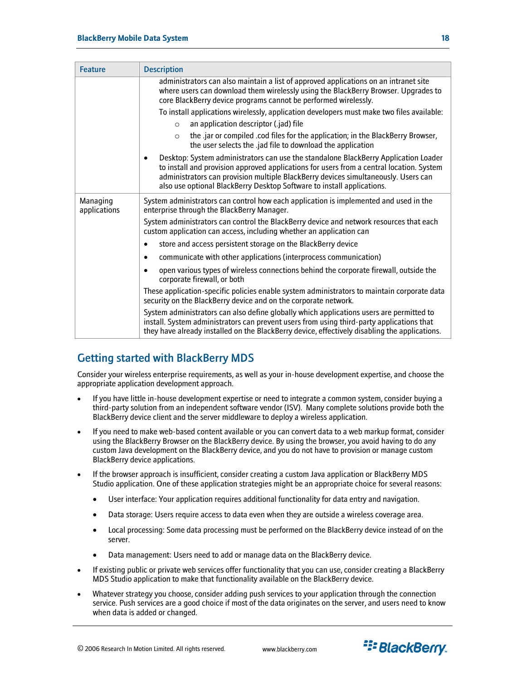<span id="page-17-0"></span>

| <b>Feature</b>           | <b>Description</b>                                                                                                                                                                                                                                                                                                                                           |
|--------------------------|--------------------------------------------------------------------------------------------------------------------------------------------------------------------------------------------------------------------------------------------------------------------------------------------------------------------------------------------------------------|
|                          | administrators can also maintain a list of approved applications on an intranet site<br>where users can download them wirelessly using the BlackBerry Browser. Upgrades to<br>core BlackBerry device programs cannot be performed wirelessly.                                                                                                                |
|                          | To install applications wirelessly, application developers must make two files available:                                                                                                                                                                                                                                                                    |
|                          | an application descriptor (.jad) file<br>$\circ$                                                                                                                                                                                                                                                                                                             |
|                          | the .jar or compiled .cod files for the application; in the BlackBerry Browser,<br>$\circ$<br>the user selects the .jad file to download the application                                                                                                                                                                                                     |
|                          | Desktop: System administrators can use the standalone BlackBerry Application Loader<br>$\bullet$<br>to install and provision approved applications for users from a central location. System<br>administrators can provision multiple BlackBerry devices simultaneously. Users can<br>also use optional BlackBerry Desktop Software to install applications. |
| Managing<br>applications | System administrators can control how each application is implemented and used in the<br>enterprise through the BlackBerry Manager.                                                                                                                                                                                                                          |
|                          | System administrators can control the BlackBerry device and network resources that each<br>custom application can access, including whether an application can                                                                                                                                                                                               |
|                          | store and access persistent storage on the BlackBerry device<br>$\bullet$                                                                                                                                                                                                                                                                                    |
|                          | communicate with other applications (interprocess communication)<br>$\bullet$                                                                                                                                                                                                                                                                                |
|                          | open various types of wireless connections behind the corporate firewall, outside the<br>$\bullet$<br>corporate firewall, or both                                                                                                                                                                                                                            |
|                          | These application-specific policies enable system administrators to maintain corporate data<br>security on the BlackBerry device and on the corporate network.                                                                                                                                                                                               |
|                          | System administrators can also define globally which applications users are permitted to<br>install. System administrators can prevent users from using third-party applications that<br>they have already installed on the BlackBerry device, effectively disabling the applications.                                                                       |

# Getting started with BlackBerry MDS

Consider your wireless enterprise requirements, as well as your in-house development expertise, and choose the appropriate application development approach.

- If you have little in-house development expertise or need to integrate a common system, consider buying a third-party solution from an independent software vendor (ISV). Many complete solutions provide both the BlackBerry device client and the server middleware to deploy a wireless application.
- If you need to make web-based content available or you can convert data to a web markup format, consider using the BlackBerry Browser on the BlackBerry device. By using the browser, you avoid having to do any custom Java development on the BlackBerry device, and you do not have to provision or manage custom BlackBerry device applications.
- If the browser approach is insufficient, consider creating a custom Java application or BlackBerry MDS Studio application. One of these application strategies might be an appropriate choice for several reasons:
	- User interface: Your application requires additional functionality for data entry and navigation.
	- Data storage: Users require access to data even when they are outside a wireless coverage area.
	- Local processing: Some data processing must be performed on the BlackBerry device instead of on the server.
	- Data management: Users need to add or manage data on the BlackBerry device.
- If existing public or private web services offer functionality that you can use, consider creating a BlackBerry MDS Studio application to make that functionality available on the BlackBerry device.
- Whatever strategy you choose, consider adding push services to your application through the connection service. Push services are a good choice if most of the data originates on the server, and users need to know when data is added or changed.

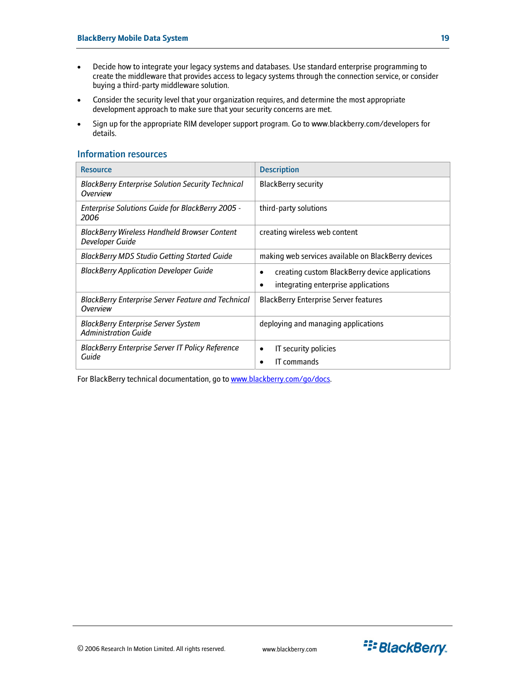- <span id="page-18-0"></span>• Decide how to integrate your legacy systems and databases. Use standard enterprise programming to create the middleware that provides access to legacy systems through the connection service, or consider buying a third-party middleware solution.
- Consider the security level that your organization requires, and determine the most appropriate development approach to make sure that your security concerns are met.
- Sign up for the appropriate RIM developer support program. Go to www.blackberry.com/developers for details.

### Information resources

| <b>Resource</b>                                                              | <b>Description</b>                                                                    |  |
|------------------------------------------------------------------------------|---------------------------------------------------------------------------------------|--|
| <b>BlackBerry Enterprise Solution Security Technical</b><br>Overview         | <b>BlackBerry security</b>                                                            |  |
| <b>Enterprise Solutions Guide for BlackBerry 2005 -</b><br>2006              | third-party solutions                                                                 |  |
| <b>BlackBerry Wireless Handheld Browser Content</b><br>Developer Guide       | creating wireless web content                                                         |  |
| <b>BlackBerry MDS Studio Getting Started Guide</b>                           | making web services available on BlackBerry devices                                   |  |
| <b>BlackBerry Application Developer Guide</b>                                | creating custom BlackBerry device applications<br>integrating enterprise applications |  |
| <b>BlackBerry Enterprise Server Feature and Technical</b><br><b>Overview</b> | <b>BlackBerry Enterprise Server features</b>                                          |  |
| <b>BlackBerry Enterprise Server System</b><br><b>Administration Guide</b>    | deploying and managing applications                                                   |  |
| <b>BlackBerry Enterprise Server IT Policy Reference</b><br>Guide             | IT security policies<br>IT commands                                                   |  |

For BlackBerry technical documentation, go to [www.blackberry.com/go/docs](http://www.blackberry.com/go/docs).